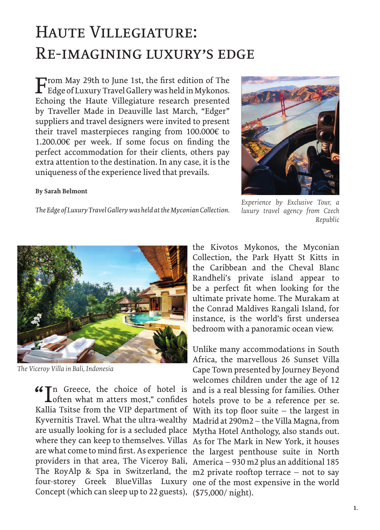## Haute Villegiature: Re-imagining luxury's edge

From May 29th to June 1st, the first edition of The Edge of Luxury Travel Gallery was held in Mykonos. Echoing the Haute Villegiature research presented by Traveller Made in Deauville last March, "Edger" suppliers and travel designers were invited to present their travel masterpieces ranging from 100.000€ to 1.200.00€ per week. If some focus on finding the perfect accommodation for their clients, others pay extra attention to the destination. In any case, it is the uniqueness of the experience lived that prevails.

## **By Sarah Belmont**



*The Edge of Luxury Travel Gallery was held at the Myconian Collection.*

*Experience by Exclusive Tour, a luxury travel agency from Czech Republic*



*The Viceroy Villa in Bali, Indonesia*

Loften what m atters most," confides Kallia Tsitse from the VIP department of With its top floor suite – the largest in Kyvernitis Travel. What the ultra-wealthy Madrid at 290m2 – the Villa Magna, from are usually looking for is a secluded place Mytha Hotel Anthology, also stands out. where they can keep to themselves. Villas As for The Mark in New York, it houses are what come to mind first. As experience the largest penthouse suite in North providers in that area, The Viceroy Bali, America – 930 m2 plus an additional 185 The RoyAlp & Spa in Switzerland, the m2 private rooftop terrace – not to say four-storey Greek BlueVillas Luxury one of the most expensive in the world Concept (which can sleep up to 22 guests), (\$75,000/ night).

the Kivotos Mykonos, the Myconian Collection, the Park Hyatt St Kitts in the Caribbean and the Cheval Blanc Randheli's private island appear to be a perfect fit when looking for the ultimate private home. The Murakam at the Conrad Maldives Rangali Island, for instance, is the world's first undersea bedroom with a panoramic ocean view.

 $\bigcup_{n=1}^{\infty} \mathbb{I}^n$  Greece, the choice of hotel is and is a real blessing for families. Other of other what m atters most," confides hotels prove to be a reference per se. Unlike many accommodations in South Africa, the marvellous 26 Sunset Villa Cape Town presented by Journey Beyond welcomes children under the age of 12 hotels prove to be a reference per se.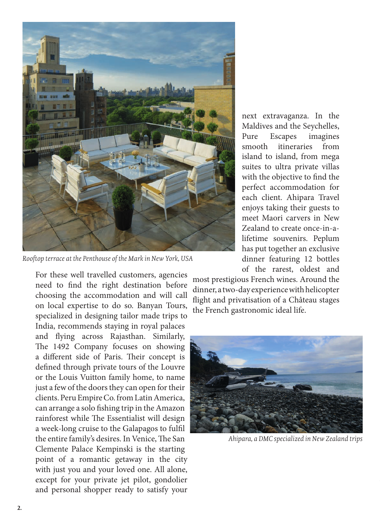

*Rooftop terrace at the Penthouse of the Mark in New York, USA*

For these well travelled customers, agencies need to find the right destination before choosing the accommodation and will call on local expertise to do so. Banyan Tours, specialized in designing tailor made trips to India, recommends staying in royal palaces and flying across Rajasthan. Similarly, The 1492 Company focuses on showing a different side of Paris. Their concept is defined through private tours of the Louvre or the Louis Vuitton family home, to name just a few of the doors they can open for their clients. Peru Empire Co. from Latin America, can arrange a solo fishing trip in the Amazon rainforest while The Essentialist will design a week-long cruise to the Galapagos to fulfil the entire family's desires. In Venice, The San Clemente Palace Kempinski is the starting point of a romantic getaway in the city with just you and your loved one. All alone, except for your private jet pilot, gondolier and personal shopper ready to satisfy your

next extravaganza. In the Maldives and the Seychelles, Pure Escapes imagines smooth itineraries from island to island, from mega suites to ultra private villas with the objective to find the perfect accommodation for each client. Ahipara Travel enjoys taking their guests to meet Maori carvers in New Zealand to create once-in-alifetime souvenirs. Peplum has put together an exclusive dinner featuring 12 bottles of the rarest, oldest and

most prestigious French wines. Around the dinner, a two-day experience with helicopter flight and privatisation of a Château stages the French gastronomic ideal life.



*Ahipara, a DMC specialized in New Zealand trips*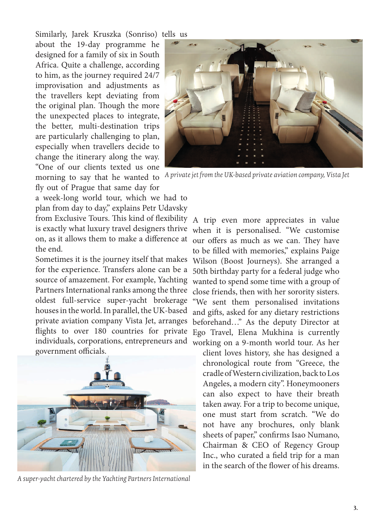Similarly, Jarek Kruszka (Sonriso) tells us

about the 19-day programme he designed for a family of six in South Africa. Quite a challenge, according to him, as the journey required 24/7 improvisation and adjustments as the travellers kept deviating from the original plan. Though the more the unexpected places to integrate, the better, multi-destination trips are particularly challenging to plan, especially when travellers decide to change the itinerary along the way. "One of our clients texted us one morning to say that he wanted to fly out of Prague that same day for



*A private jet from the UK-based private aviation company, Vista Jet*

a week-long world tour, which we had to plan from day to day," explains Petr Udavsky from Exclusive Tours. This kind of flexibility is exactly what luxury travel designers thrive on, as it allows them to make a difference at the end.

Sometimes it is the journey itself that makes for the experience. Transfers alone can be a source of amazement. For example, Yachting Partners International ranks among the three oldest full-service super-yacht brokerage houses in the world. In parallel, the UK-based private aviation company Vista Jet, arranges flights to over 180 countries for private individuals, corporations, entrepreneurs and working on a 9-month world tour. As her government officials.



*A super-yacht chartered by the Yachting Partners International*

A trip even more appreciates in value when it is personalised. "We customise our offers as much as we can. They have to be filled with memories," explains Paige Wilson (Boost Journeys). She arranged a 50th birthday party for a federal judge who wanted to spend some time with a group of close friends, then with her sorority sisters. "We sent them personalised invitations and gifts, asked for any dietary restrictions beforehand…" As the deputy Director at Ego Travel, Elena Mukhina is currently

client loves history, she has designed a chronological route from "Greece, the cradle of Western civilization, back to Los Angeles, a modern city". Honeymooners can also expect to have their breath taken away. For a trip to become unique, one must start from scratch. "We do not have any brochures, only blank sheets of paper," confirms Isao Numano, Chairman & CEO of Regency Group Inc., who curated a field trip for a man in the search of the flower of his dreams.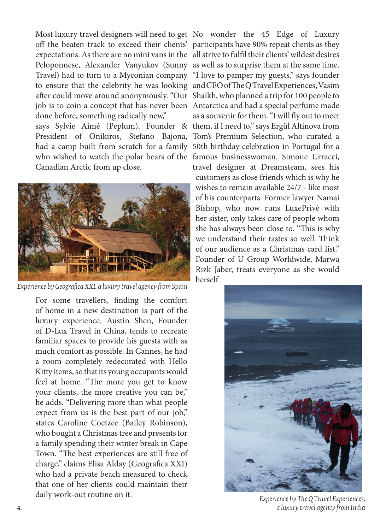Most luxury travel designers will need to get No wonder the 45 Edge of Luxury off the beaten track to exceed their clients' participants have 90% repeat clients as they expectations. As there are no mini vans in the all strive to fulfil their clients' wildest desires Peloponnese, Alexander Vanyukov (Sunny as well as to surprise them at the same time. Travel) had to turn to a Myconian company "I love to pamper my guests," says founder to ensure that the celebrity he was looking and CEO of The Q Travel Experiences, Vasim after could move around anonymously. "Our Shaikh, who planned a trip for 100 people to job is to coin a concept that has never been Antarctica and had a special perfume made done before, something radically new," says Sylvie Aimé (Peplum). Founder & them, if I need to," says Ergül Altinova from President of Onikiros, Stefano Bajona, Tom's Premium Selection, who curated a

had a camp built from scratch for a family 50th birthday celebration in Portugal for a who wished to watch the polar bears of the famous businesswoman. Simone Urracci, Canadian Arctic from up close.



*Experience by Geografica XXI, a luxury travel agency from Spain*

For some travellers, finding the comfort of home in a new destination is part of the luxury experience. Austin Shen, Founder of D-Lux Travel in China, tends to recreate familiar spaces to provide his guests with as much comfort as possible. In Cannes, he had a room completely redecorated with Hello Kitty items, so that its young occupants would feel at home. "The more you get to know your clients, the more creative you can be," he adds. "Delivering more than what people expect from us is the best part of our job," states Caroline Coetzee (Bailey Robinson), who bought a Christmas tree and presents for a family spending their winter break in Cape Town. "The best experiences are still free of charge," claims Elisa Alday (Geografica XXI) who had a private beach measured to check that one of her clients could maintain their daily work-out routine on it.

as a souvenir for them. "I will fly out to meet travel designer at Dreamsteam, sees his customers as close friends which is why he wishes to remain available 24/7 - like most of his counterparts. Former lawyer Namai Bishop, who now runs LuxePrivé with her sister, only takes care of people whom she has always been close to. "This is why we understand their tastes so well. Think of our audience as a Christmas card list." Founder of U Group Worldwide, Marwa Rizk Jaber, treats everyone as she would herself.



*Experience by The Q Travel Experiences,*  **4.** *a luxury travel agency from India*